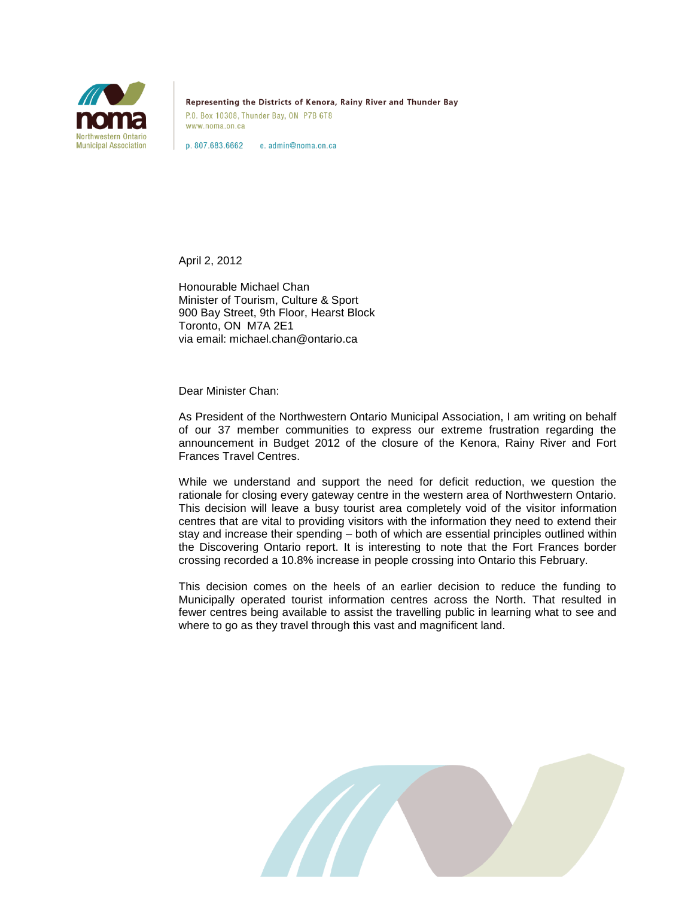

Representing the Districts of Kenora, Rainy River and Thunder Bay P.O. Box 10308, Thunder Bay, ON P7B 6T8 www.noma.on.ca

p. 807.683.6662 e. admin@noma.on.ca

April 2, 2012

Honourable Michael Chan Minister of Tourism, Culture & Sport 900 Bay Street, 9th Floor, Hearst Block Toronto, ON M7A 2E1 via email: michael.chan@ontario.ca

Dear Minister Chan:

As President of the Northwestern Ontario Municipal Association, I am writing on behalf of our 37 member communities to express our extreme frustration regarding the announcement in Budget 2012 of the closure of the Kenora, Rainy River and Fort Frances Travel Centres.

While we understand and support the need for deficit reduction, we question the rationale for closing every gateway centre in the western area of Northwestern Ontario. This decision will leave a busy tourist area completely void of the visitor information centres that are vital to providing visitors with the information they need to extend their stay and increase their spending – both of which are essential principles outlined within the Discovering Ontario report. It is interesting to note that the Fort Frances border crossing recorded a 10.8% increase in people crossing into Ontario this February.

This decision comes on the heels of an earlier decision to reduce the funding to Municipally operated tourist information centres across the North. That resulted in fewer centres being available to assist the travelling public in learning what to see and where to go as they travel through this vast and magnificent land.